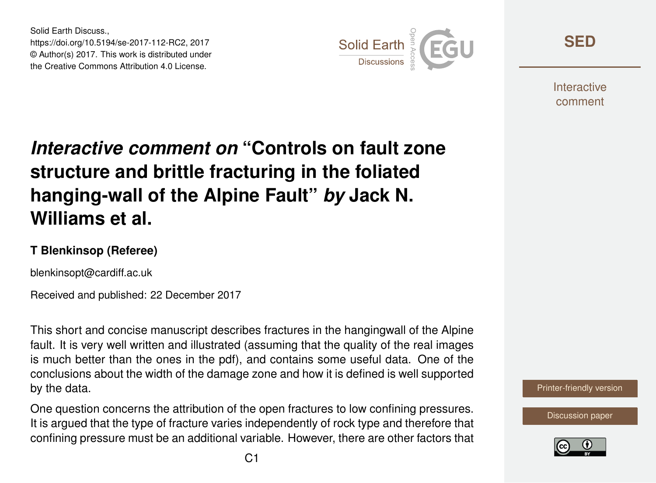Solid Earth Discuss., https://doi.org/10.5194/se-2017-112-RC2, 2017 © Author(s) 2017. This work is distributed under the Creative Commons Attribution 4.0 License.



**[SED](https://www.solid-earth-discuss.net/)**

**Interactive** comment

## *Interactive comment on* **"Controls on fault zone structure and brittle fracturing in the foliated hanging-wall of the Alpine Fault"** *by* **Jack N. Williams et al.**

## **T Blenkinsop (Referee)**

blenkinsopt@cardiff.ac.uk

Received and published: 22 December 2017

This short and concise manuscript describes fractures in the hangingwall of the Alpine fault. It is very well written and illustrated (assuming that the quality of the real images is much better than the ones in the pdf), and contains some useful data. One of the conclusions about the width of the damage zone and how it is defined is well supported by the data.

One question concerns the attribution of the open fractures to low confining pressures. It is argued that the type of fracture varies independently of rock type and therefore that confining pressure must be an additional variable. However, there are other factors that



[Discussion paper](https://www.solid-earth-discuss.net/se-2017-112)